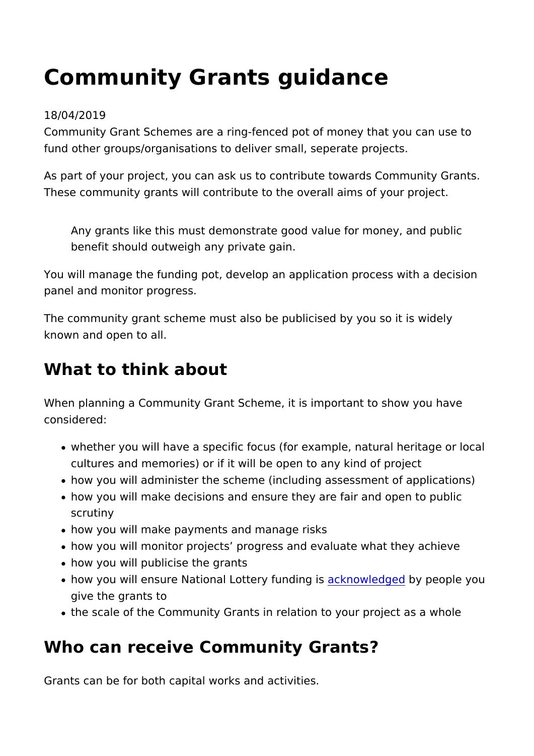# Community Grants guidance

#### 18/04/2019

Community Grant Schemes are a ring-fenced pot of money that fund other groups/organisations to deliver small, seperate proje

As part of your project, you can ask us to contribute towards C These community grants will contribute to the overall aims of  $y_0$ 

Any grants like this must demonstrate good value for money benefit should outweigh any private gain.

You will manage the funding pot, develop an application proces panel and monitor progress.

The community grant scheme must also be publicised by you so known and open to all.

### What to think about

When planning a Community Grant Scheme, it is important to sh considered:

- whether you will have a specific focus (for example, natural cultures and memories) or if it will be open to any kind of p
- how you will administer the scheme (including assessment o
- how you will make decisions and ensure they are fair and op scrutiny
- how you will make payments and manage risks
- how you will monitor projects progress and evaluate what the
- how you will publicise the grants
- how you will ensure National Lottary and inglest people you give the grants to
- the scale of the Community Grants in relation to your projec

### Who can receive Community Grants?

Grants can be for both capital works and activities.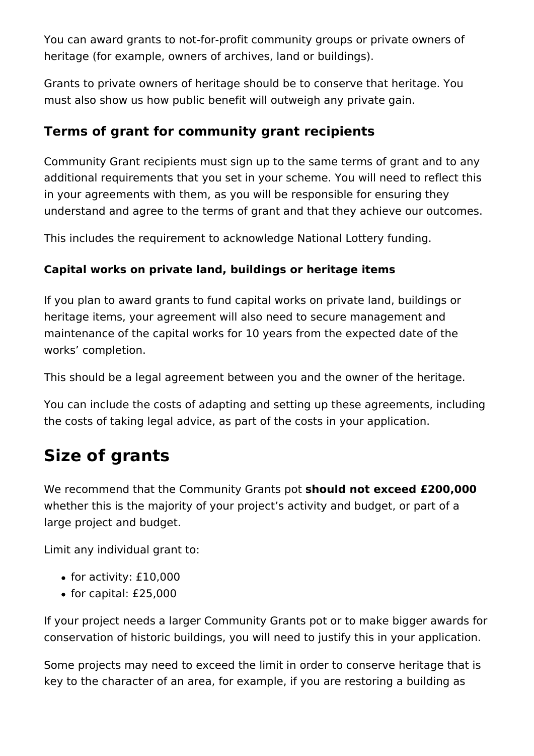You can award grants to not-for-profit community groups or private owners of heritage (for example, owners of archives, land or buildings).

Grants to private owners of heritage should be to conserve that heritage. You must also show us how public benefit will outweigh any private gain.

### **Terms of grant for community grant recipients**

Community Grant recipients must sign up to the same terms of grant and to any additional requirements that you set in your scheme. You will need to reflect this in your agreements with them, as you will be responsible for ensuring they understand and agree to the terms of grant and that they achieve our outcomes.

This includes the requirement to acknowledge National Lottery funding.

### **Capital works on private land, buildings or heritage items**

If you plan to award grants to fund capital works on private land, buildings or heritage items, your agreement will also need to secure management and maintenance of the capital works for 10 years from the expected date of the works' completion.

This should be a legal agreement between you and the owner of the heritage.

You can include the costs of adapting and setting up these agreements, including the costs of taking legal advice, as part of the costs in your application.

## **Size of grants**

We recommend that the Community Grants pot **should not exceed £200,000** whether this is the majority of your project's activity and budget, or part of a large project and budget.

Limit any individual grant to:

- $\bullet$  for activity: £10,000
- $\bullet$  for capital: £25,000

If your project needs a larger Community Grants pot or to make bigger awards for conservation of historic buildings, you will need to justify this in your application.

Some projects may need to exceed the limit in order to conserve heritage that is key to the character of an area, for example, if you are restoring a building as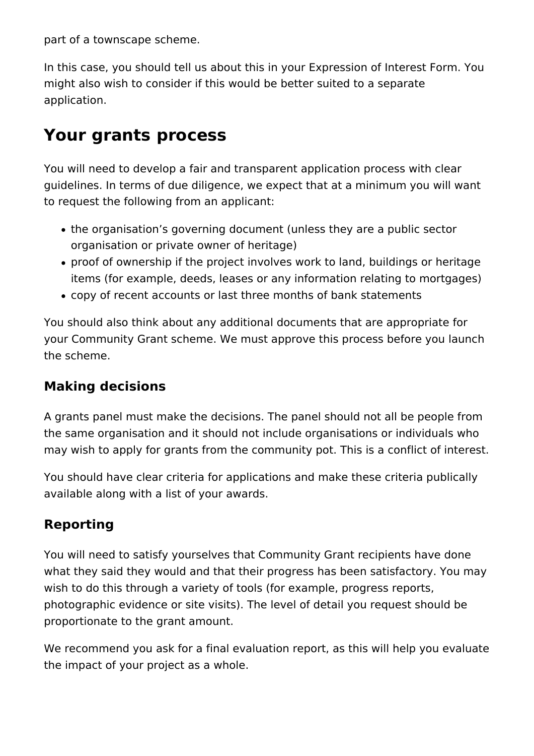part of a townscape scheme.

In this case, you should tell us about this in your Expression of Interest Form. You might also wish to consider if this would be better suited to a separate application.

## **Your grants process**

You will need to develop a fair and transparent application process with clear guidelines. In terms of due diligence, we expect that at a minimum you will want to request the following from an applicant:

- the organisation's governing document (unless they are a public sector organisation or private owner of heritage)
- proof of ownership if the project involves work to land, buildings or heritage items (for example, deeds, leases or any information relating to mortgages)
- copy of recent accounts or last three months of bank statements

You should also think about any additional documents that are appropriate for your Community Grant scheme. We must approve this process before you launch the scheme.

### **Making decisions**

A grants panel must make the decisions. The panel should not all be people from the same organisation and it should not include organisations or individuals who may wish to apply for grants from the community pot. This is a conflict of interest.

You should have clear criteria for applications and make these criteria publically available along with a list of your awards.

### **Reporting**

You will need to satisfy yourselves that Community Grant recipients have done what they said they would and that their progress has been satisfactory. You may wish to do this through a variety of tools (for example, progress reports, photographic evidence or site visits). The level of detail you request should be proportionate to the grant amount.

We recommend you ask for a final evaluation report, as this will help you evaluate the impact of your project as a whole.